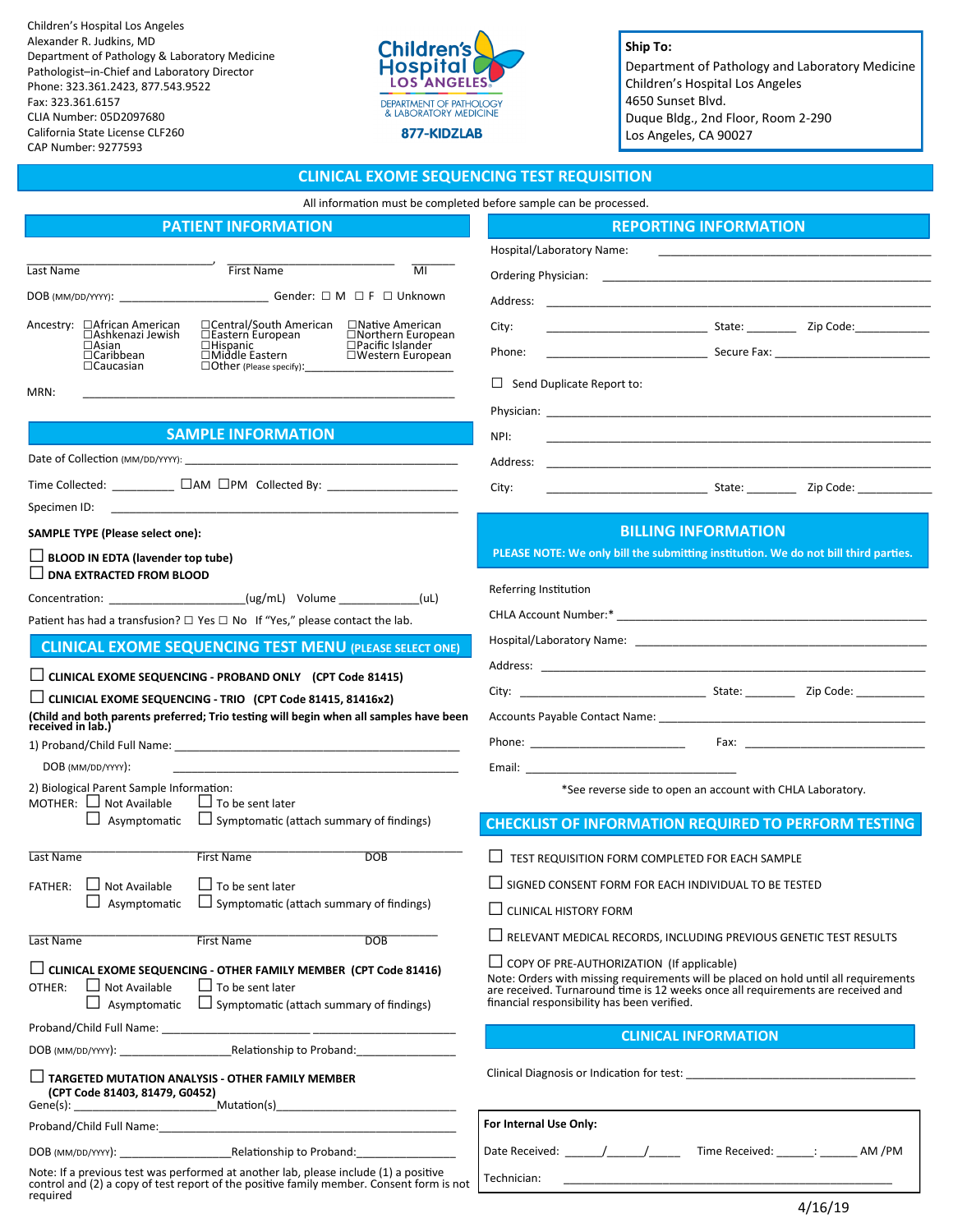Children's Hospital Los Angeles Alexander R. Judkins, MD Department of Pathology & Laboratory Medicine Pathologist–in-Chief and Laboratory Director Phone: 323.361.2423, 877.543.9522 Fax: 323.361.6157 CLIA Number: 05D2097680 California State License CLF260 CAP Number: 9277593



**Ship To:** Department of Pathology and Laboratory Medicine Children's Hospital Los Angeles 4650 Sunset Blvd. Duque Bldg., 2nd Floor, Room 2-290 Los Angeles, CA 90027

# **CLINICAL EXOME SEQUENCING TEST REQUISITION**

| All information must be completed before sample can be processed.                                                                                                                                                                                                                                                                |                                                                                                                                                                                                                                                                             |
|----------------------------------------------------------------------------------------------------------------------------------------------------------------------------------------------------------------------------------------------------------------------------------------------------------------------------------|-----------------------------------------------------------------------------------------------------------------------------------------------------------------------------------------------------------------------------------------------------------------------------|
| <b>PATIENT INFORMATION</b>                                                                                                                                                                                                                                                                                                       | <b>REPORTING INFORMATION</b>                                                                                                                                                                                                                                                |
|                                                                                                                                                                                                                                                                                                                                  | Hospital/Laboratory Name:                                                                                                                                                                                                                                                   |
| <b>First Name</b><br>$\overline{\text{MI}}$<br>Last Name                                                                                                                                                                                                                                                                         |                                                                                                                                                                                                                                                                             |
|                                                                                                                                                                                                                                                                                                                                  |                                                                                                                                                                                                                                                                             |
| □ Central/South American □ Native American<br>Ancestry: □African American<br>□Eastern European<br>□Northern European<br>□Ashkenazi Jewish<br>□Pacific Islander<br>$\Box$ Asian<br>$\Box$ Hispanic<br>□Hispanic<br>□Middle Eastern<br>□Western European<br>$\Box$ Caribbean<br>$\Box$ Caucasian<br>$\Box$ Other (Please specify): | Example 21 State: Code: Code: 21 Decay 21 Decay 21 Decay 21 Decay 21 Decay 21 Decay 21 Decay 21 Decay 21 Decay<br>City:<br><b>Secure Fax:</b> Secure Fax:<br>Phone:                                                                                                         |
| MRN:                                                                                                                                                                                                                                                                                                                             | $\Box$ Send Duplicate Report to:                                                                                                                                                                                                                                            |
|                                                                                                                                                                                                                                                                                                                                  |                                                                                                                                                                                                                                                                             |
| <b>SAMPLE INFORMATION</b>                                                                                                                                                                                                                                                                                                        | NPI:                                                                                                                                                                                                                                                                        |
|                                                                                                                                                                                                                                                                                                                                  | Address:                                                                                                                                                                                                                                                                    |
|                                                                                                                                                                                                                                                                                                                                  | Example 21 State: Capital State: Capital State: Capital State: Capital State: Capital State: Capital State: Capital State: Capital State: Capital State: Capital State: Capital State: Capital State: Capital State: Capital S<br>City:                                     |
| <b>SAMPLE TYPE (Please select one):</b>                                                                                                                                                                                                                                                                                          | <b>BILLING INFORMATION</b>                                                                                                                                                                                                                                                  |
| $\Box$ BLOOD IN EDTA (lavender top tube)<br>$\Box$ DNA EXTRACTED FROM BLOOD                                                                                                                                                                                                                                                      | PLEASE NOTE: We only bill the submitting institution. We do not bill third parties.                                                                                                                                                                                         |
| Concentration: (ug/mL) Volume (uL)                                                                                                                                                                                                                                                                                               | Referring Institution                                                                                                                                                                                                                                                       |
| Patient has had a transfusion? $\Box$ Yes $\Box$ No If "Yes," please contact the lab.                                                                                                                                                                                                                                            |                                                                                                                                                                                                                                                                             |
| <b>CLINICAL EXOME SEQUENCING TEST MENU (PLEASE SELECT ONE)</b>                                                                                                                                                                                                                                                                   |                                                                                                                                                                                                                                                                             |
|                                                                                                                                                                                                                                                                                                                                  |                                                                                                                                                                                                                                                                             |
| $\Box$ CLINICAL EXOME SEQUENCING - PROBAND ONLY (CPT Code 81415)<br>$\Box$ CLINICIAL EXOME SEQUENCING - TRIO (CPT Code 81415, 81416x2)                                                                                                                                                                                           |                                                                                                                                                                                                                                                                             |
| (Child and both parents preferred; Trio testing will begin when all samples have been<br>received in lab.)                                                                                                                                                                                                                       |                                                                                                                                                                                                                                                                             |
|                                                                                                                                                                                                                                                                                                                                  |                                                                                                                                                                                                                                                                             |
| DOB (MM/DD/YYYY):<br><u> 1989 - Johann John Stone, Amerikaansk politiker (* 1908)</u>                                                                                                                                                                                                                                            | Email: The Commission of the Commission of the Commission of the Commission of the Commission of the Commission                                                                                                                                                             |
| 2) Biological Parent Sample Information:<br>MOTHER: $\Box$ Not Available<br>$\Box$ To be sent later                                                                                                                                                                                                                              | *See reverse side to open an account with CHLA Laboratory.                                                                                                                                                                                                                  |
| $\Box$ Asymptomatic $\Box$ Symptomatic (attach summary of findings)                                                                                                                                                                                                                                                              | <b>CHECKLIST OF INFORMATION REQUIRED TO PERFORM TESTING</b>                                                                                                                                                                                                                 |
| <b>DOB</b><br>Last Name<br><b>First Name</b>                                                                                                                                                                                                                                                                                     | TEST REQUISITION FORM COMPLETED FOR EACH SAMPLE                                                                                                                                                                                                                             |
| FATHER: □ Not Available<br>$\Box$ To be sent later                                                                                                                                                                                                                                                                               | $\Box$ SIGNED CONSENT FORM FOR EACH INDIVIDUAL TO BE TESTED                                                                                                                                                                                                                 |
| $\Box$ Asymptomatic $\Box$ Symptomatic (attach summary of findings)                                                                                                                                                                                                                                                              | $\Box$ CLINICAL HISTORY FORM                                                                                                                                                                                                                                                |
| First Name<br><b>DOB</b><br>Last Name                                                                                                                                                                                                                                                                                            | $\Box$ RELEVANT MEDICAL RECORDS, INCLUDING PREVIOUS GENETIC TEST RESULTS                                                                                                                                                                                                    |
| $\Box$ CLINICAL EXOME SEQUENCING - OTHER FAMILY MEMBER (CPT Code 81416)<br>$\Box$ Not Available<br>$\Box$ To be sent later<br>OTHER:<br>$\Box$ Asymptomatic $\Box$ Symptomatic (attach summary of findings)                                                                                                                      | $\Box$ COPY OF PRE-AUTHORIZATION (If applicable)<br>Note: Orders with missing requirements will be placed on hold until all requirements<br>are received. Turnaround time is 12 weeks once all requirements are received and<br>financial responsibility has been verified. |
|                                                                                                                                                                                                                                                                                                                                  | <b>CLINICAL INFORMATION</b>                                                                                                                                                                                                                                                 |
|                                                                                                                                                                                                                                                                                                                                  |                                                                                                                                                                                                                                                                             |
| $\Box$ TARGETED MUTATION ANALYSIS - OTHER FAMILY MEMBER                                                                                                                                                                                                                                                                          |                                                                                                                                                                                                                                                                             |
|                                                                                                                                                                                                                                                                                                                                  | For Internal Use Only:                                                                                                                                                                                                                                                      |
|                                                                                                                                                                                                                                                                                                                                  | Date Received: ______/______/__________Time Received: _______: ________ AM /PM                                                                                                                                                                                              |

Technician:

Note: If a previous test was performed at another lab, please include (1) a positive control and (2) a copy of test report of the positive family member. Consent form is not required